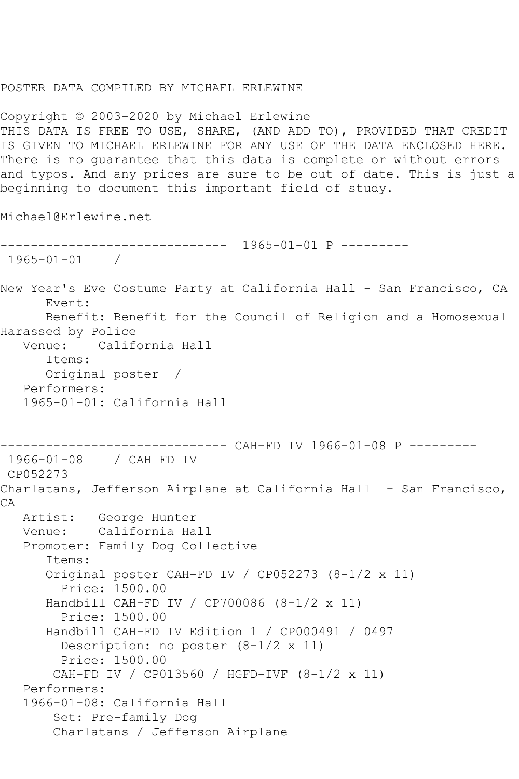## POSTER DATA COMPILED BY MICHAEL ERLEWINE

Copyright © 2003-2020 by Michael Erlewine THIS DATA IS FREE TO USE, SHARE, (AND ADD TO), PROVIDED THAT CREDIT IS GIVEN TO MICHAEL ERLEWINE FOR ANY USE OF THE DATA ENCLOSED HERE. There is no guarantee that this data is complete or without errors and typos. And any prices are sure to be out of date. This is just a beginning to document this important field of study.

Michael@Erlewine.net

```
------------------------------ 1965-01-01 P ---------
1965-01-01 / 
New Year's Eve Costume Party at California Hall - San Francisco, CA
      Event: 
      Benefit: Benefit for the Council of Religion and a Homosexual 
Harassed by Police
           California Hall
       Items:
      Original poster / 
   Performers:
   1965-01-01: California Hall
------------------------------ CAH-FD IV 1966-01-08 P ---------
1966-01-08 / CAH FD IV
CP052273
Charlatans, Jefferson Airplane at California Hall - San Francisco, 
CA
   Artist: George Hunter
   Venue: California Hall
   Promoter: Family Dog Collective
       Items:
       Original poster CAH-FD IV / CP052273 (8-1/2 x 11)
         Price: 1500.00
       Handbill CAH-FD IV / CP700086 (8-1/2 x 11)
         Price: 1500.00
       Handbill CAH-FD IV Edition 1 / CP000491 / 0497
         Description: no poster (8-1/2 x 11)
         Price: 1500.00
        CAH-FD IV / CP013560 / HGFD-IVF (8-1/2 x 11)
   Performers:
   1966-01-08: California Hall
        Set: Pre-family Dog
        Charlatans / Jefferson Airplane
```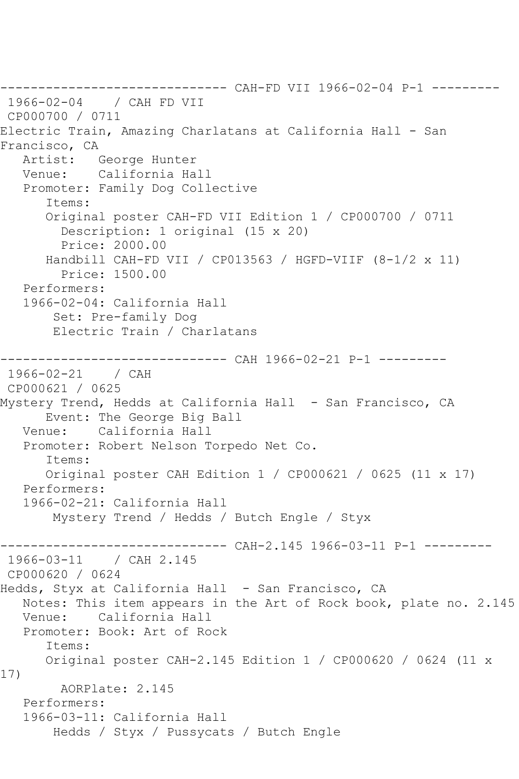------------------------------ CAH-FD VII 1966-02-04 P-1 --------- 1966-02-04 / CAH FD VII CP000700 / 0711 Electric Train, Amazing Charlatans at California Hall - San Francisco, CA<br>Artist: George Hunter Venue: California Hall Promoter: Family Dog Collective Items: Original poster CAH-FD VII Edition 1 / CP000700 / 0711 Description: 1 original (15 x 20) Price: 2000.00 Handbill CAH-FD VII / CP013563 / HGFD-VIIF (8-1/2 x 11) Price: 1500.00 Performers: 1966-02-04: California Hall Set: Pre-family Dog Electric Train / Charlatans ------------------------------ CAH 1966-02-21 P-1 --------- 1966-02-21 / CAH CP000621 / 0625 Mystery Trend, Hedds at California Hall - San Francisco, CA Event: The George Big Ball Venue: California Hall Promoter: Robert Nelson Torpedo Net Co. Items: Original poster CAH Edition 1 / CP000621 / 0625 (11 x 17) Performers: 1966-02-21: California Hall Mystery Trend / Hedds / Butch Engle / Styx ------------------------------ CAH-2.145 1966-03-11 P-1 --------- 1966-03-11 / CAH 2.145 CP000620 / 0624 Hedds, Styx at California Hall - San Francisco, CA Notes: This item appears in the Art of Rock book, plate no. 2.145 Venue: California Hall Promoter: Book: Art of Rock Items: Original poster CAH-2.145 Edition 1 / CP000620 / 0624 (11 x 17) AORPlate: 2.145 Performers: 1966-03-11: California Hall Hedds / Styx / Pussycats / Butch Engle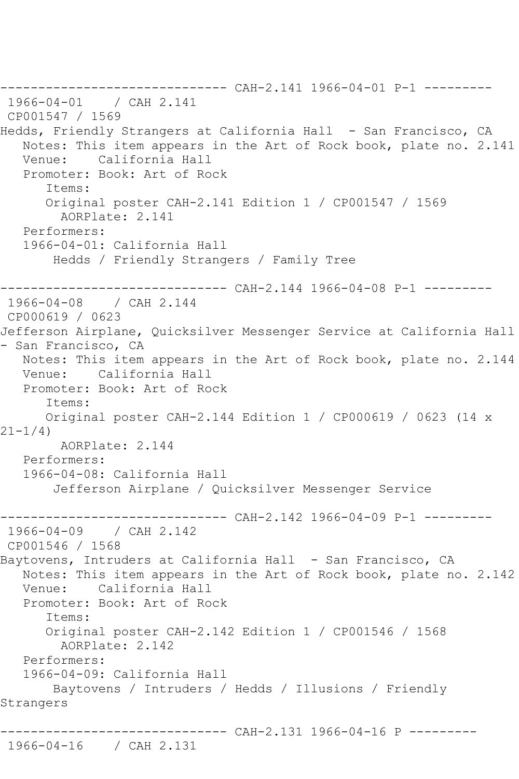------------------------------ CAH-2.141 1966-04-01 P-1 --------- 1966-04-01 / CAH 2.141 CP001547 / 1569 Hedds, Friendly Strangers at California Hall - San Francisco, CA Notes: This item appears in the Art of Rock book, plate no. 2.141 Venue: California Hall Promoter: Book: Art of Rock Items: Original poster CAH-2.141 Edition 1 / CP001547 / 1569 AORPlate: 2.141 Performers: 1966-04-01: California Hall Hedds / Friendly Strangers / Family Tree ------------------------------ CAH-2.144 1966-04-08 P-1 --------- 1966-04-08 / CAH 2.144 CP000619 / 0623 Jefferson Airplane, Quicksilver Messenger Service at California Hall - San Francisco, CA Notes: This item appears in the Art of Rock book, plate no. 2.144 Venue: California Hall Promoter: Book: Art of Rock Items: Original poster CAH-2.144 Edition 1 / CP000619 / 0623 (14 x 21-1/4) AORPlate: 2.144 Performers: 1966-04-08: California Hall Jefferson Airplane / Quicksilver Messenger Service ----- CAH-2.142 1966-04-09 P-1 ---------1966-04-09 / CAH 2.142 CP001546 / 1568 Baytovens, Intruders at California Hall - San Francisco, CA Notes: This item appears in the Art of Rock book, plate no. 2.142 Venue: California Hall Promoter: Book: Art of Rock Items: Original poster CAH-2.142 Edition 1 / CP001546 / 1568 AORPlate: 2.142 Performers: 1966-04-09: California Hall Baytovens / Intruders / Hedds / Illusions / Friendly Strangers ------------------------------ CAH-2.131 1966-04-16 P --------- 1966-04-16 / CAH 2.131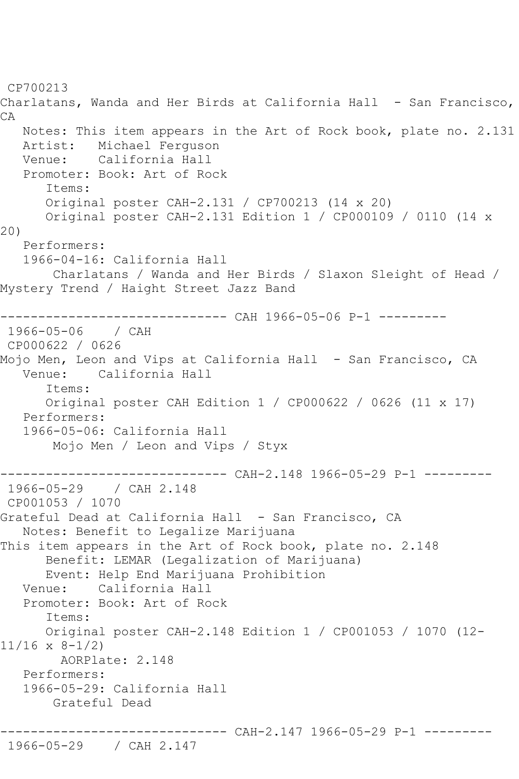CP700213 Charlatans, Wanda and Her Birds at California Hall - San Francisco, CA Notes: This item appears in the Art of Rock book, plate no. 2.131 Artist: Michael Ferguson Venue: California Hall Promoter: Book: Art of Rock Items: Original poster CAH-2.131 / CP700213 (14 x 20) Original poster CAH-2.131 Edition 1 / CP000109 / 0110 (14 x 20) Performers: 1966-04-16: California Hall Charlatans / Wanda and Her Birds / Slaxon Sleight of Head / Mystery Trend / Haight Street Jazz Band ------------------------------ CAH 1966-05-06 P-1 --------- 1966-05-06 / CAH CP000622 / 0626 Mojo Men, Leon and Vips at California Hall - San Francisco, CA Venue: California Hall Items: Original poster CAH Edition 1 / CP000622 / 0626 (11 x 17) Performers: 1966-05-06: California Hall Mojo Men / Leon and Vips / Styx ------------------------------ CAH-2.148 1966-05-29 P-1 --------- 1966-05-29 / CAH 2.148 CP001053 / 1070 Grateful Dead at California Hall - San Francisco, CA Notes: Benefit to Legalize Marijuana This item appears in the Art of Rock book, plate no. 2.148 Benefit: LEMAR (Legalization of Marijuana) Event: Help End Marijuana Prohibition Venue: California Hall Promoter: Book: Art of Rock Items: Original poster CAH-2.148 Edition 1 / CP001053 / 1070 (12- 11/16 x 8-1/2) AORPlate: 2.148 Performers: 1966-05-29: California Hall Grateful Dead ----------- CAH-2.147 1966-05-29 P-1 ---------

1966-05-29 / CAH 2.147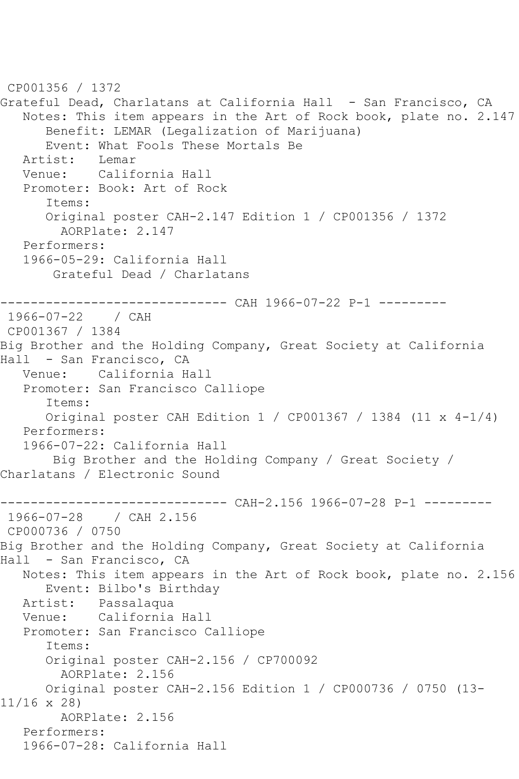CP001356 / 1372 Grateful Dead, Charlatans at California Hall - San Francisco, CA Notes: This item appears in the Art of Rock book, plate no. 2.147 Benefit: LEMAR (Legalization of Marijuana) Event: What Fools These Mortals Be<br>ist: Lemar Artist: Venue: California Hall Promoter: Book: Art of Rock Items: Original poster CAH-2.147 Edition 1 / CP001356 / 1372 AORPlate: 2.147 Performers: 1966-05-29: California Hall Grateful Dead / Charlatans ----------- CAH 1966-07-22 P-1 ---------1966-07-22 / CAH CP001367 / 1384 Big Brother and the Holding Company, Great Society at California Hall - San Francisco, CA Venue: California Hall Promoter: San Francisco Calliope Items: Original poster CAH Edition 1 / CP001367 / 1384 (11 x 4-1/4) Performers: 1966-07-22: California Hall Big Brother and the Holding Company / Great Society / Charlatans / Electronic Sound ------------------------------ CAH-2.156 1966-07-28 P-1 --------- 1966-07-28 / CAH 2.156 CP000736 / 0750 Big Brother and the Holding Company, Great Society at California Hall - San Francisco, CA Notes: This item appears in the Art of Rock book, plate no. 2.156 Event: Bilbo's Birthday Artist: Passalaqua Venue: California Hall Promoter: San Francisco Calliope Items: Original poster CAH-2.156 / CP700092 AORPlate: 2.156 Original poster CAH-2.156 Edition 1 / CP000736 / 0750 (13- 11/16 x 28) AORPlate: 2.156 Performers: 1966-07-28: California Hall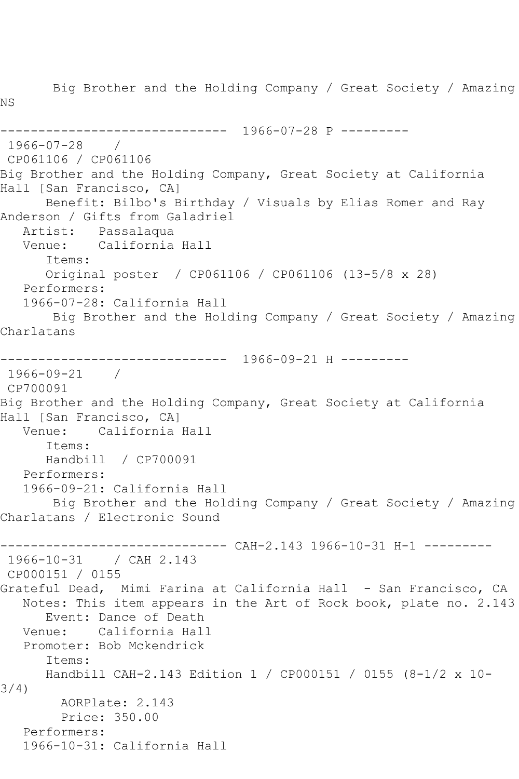Big Brother and the Holding Company / Great Society / Amazing NS ------------------------------ 1966-07-28 P --------- 1966-07-28 / CP061106 / CP061106 Big Brother and the Holding Company, Great Society at California Hall [San Francisco, CA] Benefit: Bilbo's Birthday / Visuals by Elias Romer and Ray Anderson / Gifts from Galadriel Artist: Passalaqua Venue: California Hall Items: Original poster / CP061106 / CP061106 (13-5/8 x 28) Performers: 1966-07-28: California Hall Big Brother and the Holding Company / Great Society / Amazing Charlatans ------------------------------ 1966-09-21 H --------- 1966-09-21 / CP700091 Big Brother and the Holding Company, Great Society at California Hall [San Francisco, CA]<br>Venue: California California Hall Items: Handbill / CP700091 Performers: 1966-09-21: California Hall Big Brother and the Holding Company / Great Society / Amazing Charlatans / Electronic Sound ------------------------------ CAH-2.143 1966-10-31 H-1 --------- 1966-10-31 / CAH 2.143 CP000151 / 0155 Grateful Dead, Mimi Farina at California Hall - San Francisco, CA Notes: This item appears in the Art of Rock book, plate no. 2.143 Event: Dance of Death Venue: California Hall Promoter: Bob Mckendrick Items: Handbill CAH-2.143 Edition 1 / CP000151 / 0155 (8-1/2 x 10- 3/4) AORPlate: 2.143 Price: 350.00 Performers: 1966-10-31: California Hall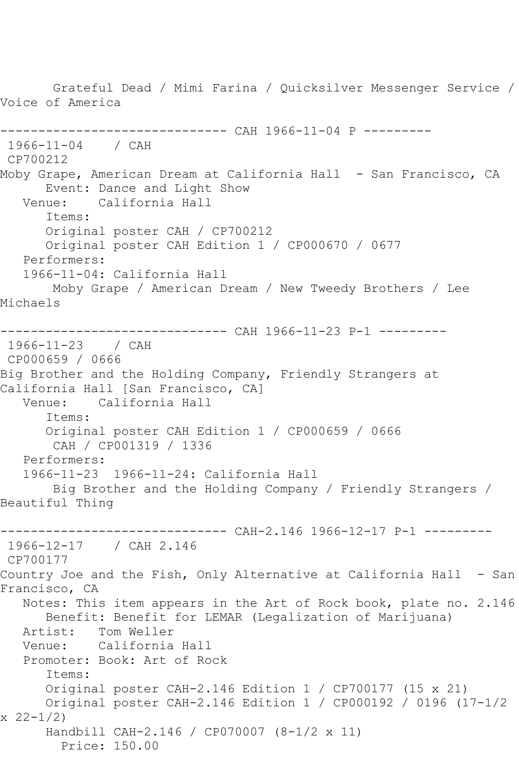Grateful Dead / Mimi Farina / Quicksilver Messenger Service / Voice of America ------------------------------ CAH 1966-11-04 P --------- 1966-11-04 / CAH CP700212 Moby Grape, American Dream at California Hall - San Francisco, CA Event: Dance and Light Show Venue: California Hall Items: Original poster CAH / CP700212 Original poster CAH Edition 1 / CP000670 / 0677 Performers: 1966-11-04: California Hall Moby Grape / American Dream / New Tweedy Brothers / Lee Michaels ------------------------------ CAH 1966-11-23 P-1 --------- 1966-11-23 / CAH CP000659 / 0666 Big Brother and the Holding Company, Friendly Strangers at California Hall [San Francisco, CA] Venue: California Hall Items: Original poster CAH Edition 1 / CP000659 / 0666 CAH / CP001319 / 1336 Performers: 1966-11-23 1966-11-24: California Hall Big Brother and the Holding Company / Friendly Strangers / Beautiful Thing ------------------------------ CAH-2.146 1966-12-17 P-1 --------- 1966-12-17 / CAH 2.146 CP700177 Country Joe and the Fish, Only Alternative at California Hall - San Francisco, CA Notes: This item appears in the Art of Rock book, plate no. 2.146 Benefit: Benefit for LEMAR (Legalization of Marijuana) Artist: Tom Weller<br>Venue: California California Hall Promoter: Book: Art of Rock Items: Original poster CAH-2.146 Edition 1 / CP700177 (15 x 21) Original poster CAH-2.146 Edition 1 / CP000192 / 0196 (17-1/2 x 22-1/2) Handbill CAH-2.146 / CP070007 (8-1/2 x 11) Price: 150.00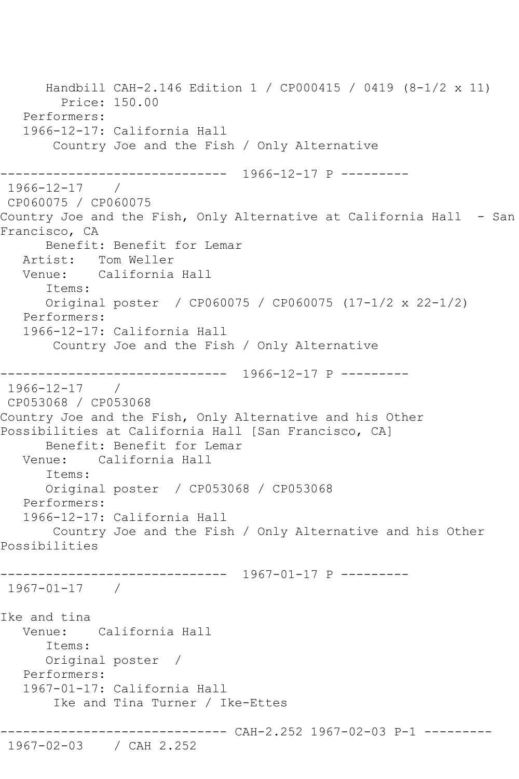Handbill CAH-2.146 Edition 1 / CP000415 / 0419 (8-1/2 x 11) Price: 150.00 Performers: 1966-12-17: California Hall Country Joe and the Fish / Only Alternative ------------------------------ 1966-12-17 P --------- 1966-12-17 / CP060075 / CP060075 Country Joe and the Fish, Only Alternative at California Hall - San Francisco, CA Benefit: Benefit for Lemar Artist: Tom Weller Venue: California Hall Items: Original poster / CP060075 / CP060075 (17-1/2 x 22-1/2) Performers: 1966-12-17: California Hall Country Joe and the Fish / Only Alternative ------------------------------ 1966-12-17 P --------- 1966-12-17 / CP053068 / CP053068 Country Joe and the Fish, Only Alternative and his Other Possibilities at California Hall [San Francisco, CA] Benefit: Benefit for Lemar Venue: California Hall Items: Original poster / CP053068 / CP053068 Performers: 1966-12-17: California Hall Country Joe and the Fish / Only Alternative and his Other Possibilities ------------------------------ 1967-01-17 P --------- 1967-01-17 / Ike and tina Venue: California Hall Items: Original poster / Performers: 1967-01-17: California Hall Ike and Tina Turner / Ike-Ettes ------------------------------ CAH-2.252 1967-02-03 P-1 --------- 1967-02-03 / CAH 2.252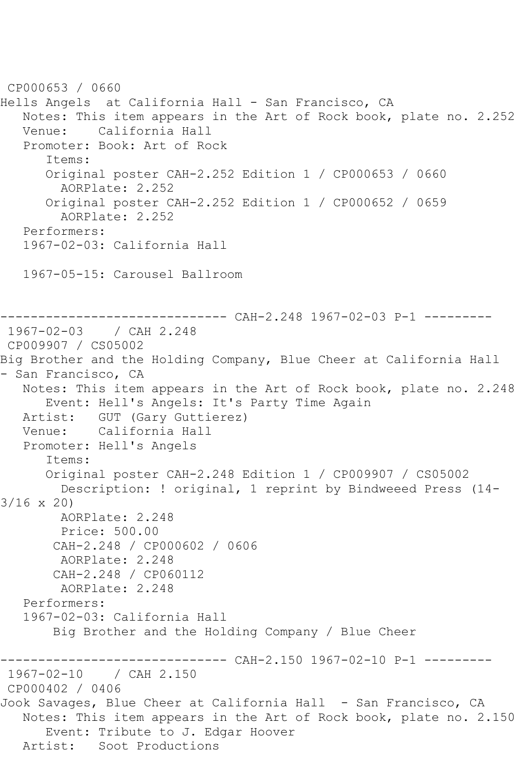CP000653 / 0660 Hells Angels at California Hall - San Francisco, CA Notes: This item appears in the Art of Rock book, plate no. 2.252 Venue: California Hall Promoter: Book: Art of Rock Items: Original poster CAH-2.252 Edition 1 / CP000653 / 0660 AORPlate: 2.252 Original poster CAH-2.252 Edition 1 / CP000652 / 0659 AORPlate: 2.252 Performers: 1967-02-03: California Hall 1967-05-15: Carousel Ballroom ------------------------------ CAH-2.248 1967-02-03 P-1 --------- 1967-02-03 / CAH 2.248 CP009907 / CS05002 Big Brother and the Holding Company, Blue Cheer at California Hall - San Francisco, CA Notes: This item appears in the Art of Rock book, plate no. 2.248 Event: Hell's Angels: It's Party Time Again<br>Artist: GUT (Gary Guttierez) GUT (Gary Guttierez) Venue: California Hall Promoter: Hell's Angels Items: Original poster CAH-2.248 Edition 1 / CP009907 / CS05002 Description: ! original, 1 reprint by Bindweeed Press (14- 3/16 x 20) AORPlate: 2.248 Price: 500.00 CAH-2.248 / CP000602 / 0606 AORPlate: 2.248 CAH-2.248 / CP060112 AORPlate: 2.248 Performers: 1967-02-03: California Hall Big Brother and the Holding Company / Blue Cheer ----------- CAH-2.150 1967-02-10 P-1 ---------1967-02-10 / CAH 2.150 CP000402 / 0406 Jook Savages, Blue Cheer at California Hall - San Francisco, CA Notes: This item appears in the Art of Rock book, plate no. 2.150 Event: Tribute to J. Edgar Hoover Artist: Soot Productions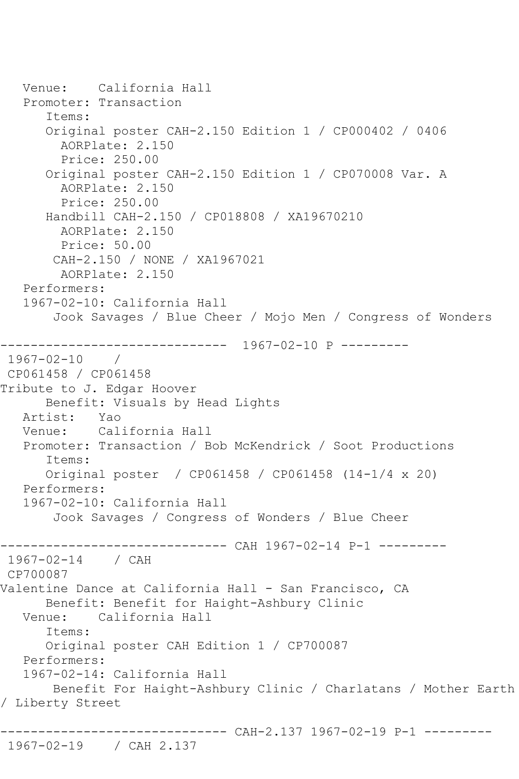```
 Venue: California Hall
   Promoter: Transaction
       Items:
       Original poster CAH-2.150 Edition 1 / CP000402 / 0406
         AORPlate: 2.150 
         Price: 250.00
       Original poster CAH-2.150 Edition 1 / CP070008 Var. A
         AORPlate: 2.150 
         Price: 250.00
       Handbill CAH-2.150 / CP018808 / XA19670210
         AORPlate: 2.150 
         Price: 50.00
        CAH-2.150 / NONE / XA1967021
         AORPlate: 2.150 
   Performers:
   1967-02-10: California Hall
        Jook Savages / Blue Cheer / Mojo Men / Congress of Wonders
        ------------------------------ 1967-02-10 P ---------
1967-02-10 / 
CP061458 / CP061458
Tribute to J. Edgar Hoover
      Benefit: Visuals by Head Lights
   Artist: Yao
   Venue: California Hall
   Promoter: Transaction / Bob McKendrick / Soot Productions
       Items:
      Original poster / CP061458 / CP061458 (14-1/4 x 20)
   Performers:
   1967-02-10: California Hall
        Jook Savages / Congress of Wonders / Blue Cheer
------------------------------ CAH 1967-02-14 P-1 ---------
1967-02-14 / CAH 
CP700087
Valentine Dance at California Hall - San Francisco, CA
      Benefit: Benefit for Haight-Ashbury Clinic
   Venue: California Hall
       Items:
       Original poster CAH Edition 1 / CP700087
   Performers:
   1967-02-14: California Hall
        Benefit For Haight-Ashbury Clinic / Charlatans / Mother Earth 
/ Liberty Street
         ------------------------------ CAH-2.137 1967-02-19 P-1 ---------
1967-02-19 / CAH 2.137
```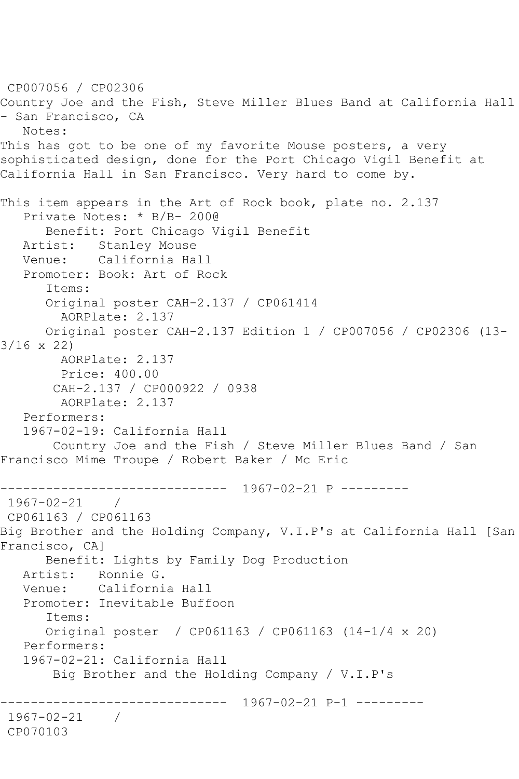```
CP007056 / CP02306
Country Joe and the Fish, Steve Miller Blues Band at California Hall 
- San Francisco, CA
   Notes: 
This has got to be one of my favorite Mouse posters, a very
sophisticated design, done for the Port Chicago Vigil Benefit at 
California Hall in San Francisco. Very hard to come by.
This item appears in the Art of Rock book, plate no. 2.137
   Private Notes: * B/B- 200@
      Benefit: Port Chicago Vigil Benefit
   Artist: Stanley Mouse
   Venue: California Hall
   Promoter: Book: Art of Rock
       Items:
       Original poster CAH-2.137 / CP061414
         AORPlate: 2.137 
      Original poster CAH-2.137 Edition 1 / CP007056 / CP02306 (13-
3/16 x 22)
        AORPlate: 2.137 
        Price: 400.00
        CAH-2.137 / CP000922 / 0938
        AORPlate: 2.137 
   Performers:
   1967-02-19: California Hall
        Country Joe and the Fish / Steve Miller Blues Band / San 
Francisco Mime Troupe / Robert Baker / Mc Eric
------------------------------ 1967-02-21 P ---------
1967-02-21 / 
CP061163 / CP061163
Big Brother and the Holding Company, V.I.P's at California Hall [San 
Francisco, CA]
      Benefit: Lights by Family Dog Production
   Artist: Ronnie G.
   Venue: California Hall
   Promoter: Inevitable Buffoon
       Items:
      Original poster / CP061163 / CP061163 (14-1/4 x 20)
   Performers:
   1967-02-21: California Hall
        Big Brother and the Holding Company / V.I.P's
         ------------------------------ 1967-02-21 P-1 ---------
1967-02-21 / 
CP070103
```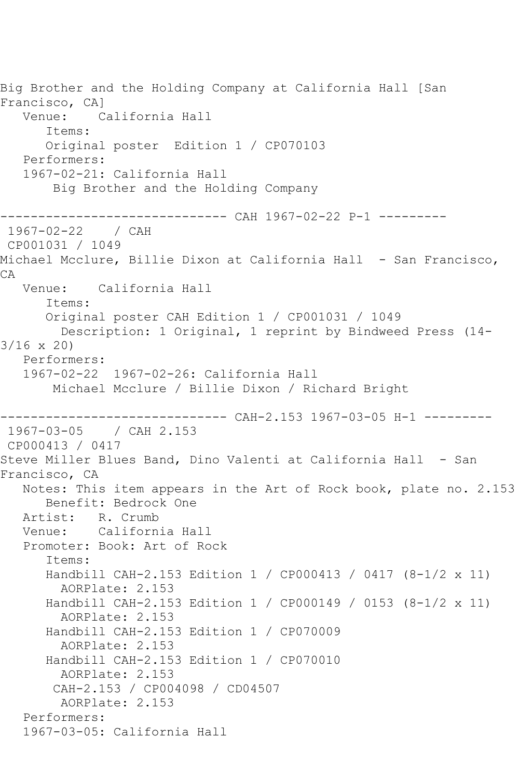Big Brother and the Holding Company at California Hall [San Francisco, CA] Venue: California Hall Items: Original poster Edition 1 / CP070103 Performers: 1967-02-21: California Hall Big Brother and the Holding Company ------------------------------ CAH 1967-02-22 P-1 --------- 1967-02-22 / CAH CP001031 / 1049 Michael Mcclure, Billie Dixon at California Hall - San Francisco, CA Venue: California Hall Items: Original poster CAH Edition 1 / CP001031 / 1049 Description: 1 Original, 1 reprint by Bindweed Press (14- 3/16 x 20) Performers: 1967-02-22 1967-02-26: California Hall Michael Mcclure / Billie Dixon / Richard Bright ------------------------------ CAH-2.153 1967-03-05 H-1 --------- 1967-03-05 / CAH 2.153 CP000413 / 0417 Steve Miller Blues Band, Dino Valenti at California Hall - San Francisco, CA Notes: This item appears in the Art of Rock book, plate no. 2.153 Benefit: Bedrock One Artist: R. Crumb Venue: California Hall Promoter: Book: Art of Rock Items: Handbill CAH-2.153 Edition 1 / CP000413 / 0417 (8-1/2 x 11) AORPlate: 2.153 Handbill CAH-2.153 Edition 1 / CP000149 / 0153 (8-1/2 x 11) AORPlate: 2.153 Handbill CAH-2.153 Edition 1 / CP070009 AORPlate: 2.153 Handbill CAH-2.153 Edition 1 / CP070010 AORPlate: 2.153 CAH-2.153 / CP004098 / CD04507 AORPlate: 2.153 Performers: 1967-03-05: California Hall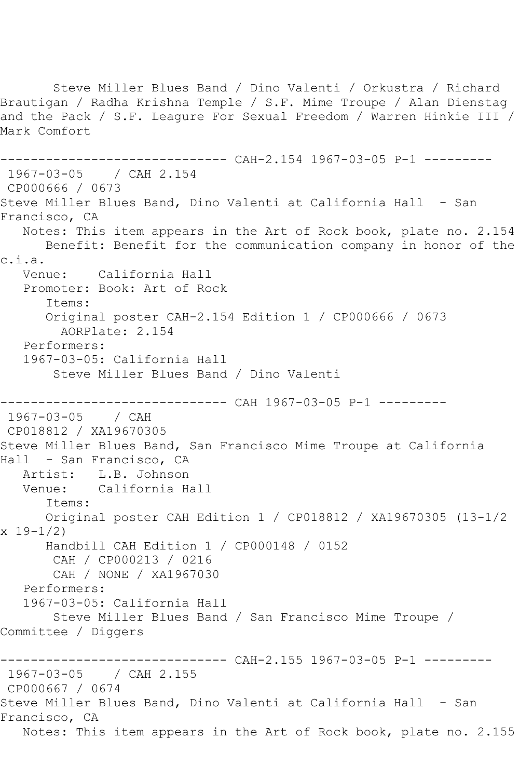Steve Miller Blues Band / Dino Valenti / Orkustra / Richard Brautigan / Radha Krishna Temple / S.F. Mime Troupe / Alan Dienstag and the Pack / S.F. Leagure For Sexual Freedom / Warren Hinkie III / Mark Comfort ------- CAH-2.154 1967-03-05 P-1 ---------1967-03-05 / CAH 2.154 CP000666 / 0673 Steve Miller Blues Band, Dino Valenti at California Hall - San Francisco, CA Notes: This item appears in the Art of Rock book, plate no. 2.154 Benefit: Benefit for the communication company in honor of the c.i.a. Venue: California Hall Promoter: Book: Art of Rock Items: Original poster CAH-2.154 Edition 1 / CP000666 / 0673 AORPlate: 2.154 Performers: 1967-03-05: California Hall Steve Miller Blues Band / Dino Valenti ------------------------------ CAH 1967-03-05 P-1 --------- 1967-03-05 / CAH CP018812 / XA19670305 Steve Miller Blues Band, San Francisco Mime Troupe at California Hall - San Francisco, CA Artist: L.B. Johnson Venue: California Hall Items: Original poster CAH Edition 1 / CP018812 / XA19670305 (13-1/2 x 19-1/2) Handbill CAH Edition 1 / CP000148 / 0152 CAH / CP000213 / 0216 CAH / NONE / XA1967030 Performers: 1967-03-05: California Hall Steve Miller Blues Band / San Francisco Mime Troupe / Committee / Diggers ------------ CAH-2.155 1967-03-05 P-1 ---------1967-03-05 / CAH 2.155 CP000667 / 0674 Steve Miller Blues Band, Dino Valenti at California Hall - San Francisco, CA Notes: This item appears in the Art of Rock book, plate no. 2.155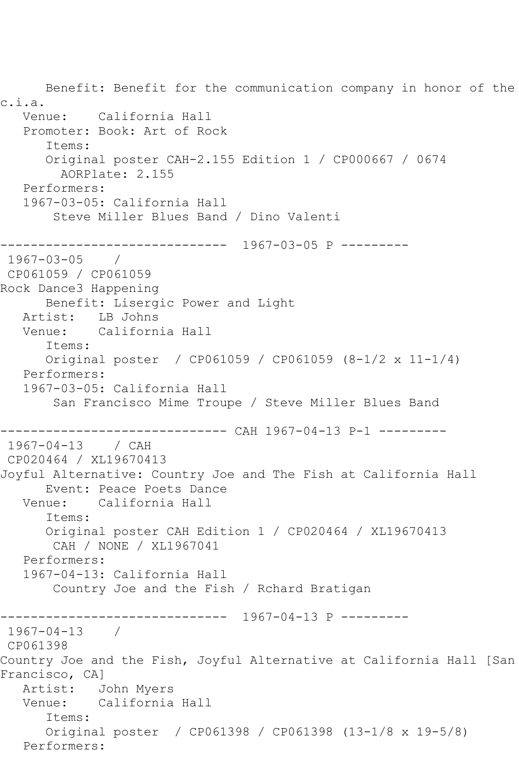Benefit: Benefit for the communication company in honor of the c.i.a. Venue: California Hall Promoter: Book: Art of Rock Items: Original poster CAH-2.155 Edition 1 / CP000667 / 0674 AORPlate: 2.155 Performers: 1967-03-05: California Hall Steve Miller Blues Band / Dino Valenti ------------------------------ 1967-03-05 P ---------  $1967 - 03 - 05$ CP061059 / CP061059 Rock Dance3 Happening Benefit: Lisergic Power and Light Artist: LB Johns<br>Venue: Californ California Hall Items: Original poster / CP061059 / CP061059 (8-1/2 x 11-1/4) Performers: 1967-03-05: California Hall San Francisco Mime Troupe / Steve Miller Blues Band ----------- CAH 1967-04-13 P-1 ---------1967-04-13 / CAH CP020464 / XL19670413 Joyful Alternative: Country Joe and The Fish at California Hall Event: Peace Poets Dance Venue: California Hall Items: Original poster CAH Edition 1 / CP020464 / XL19670413 CAH / NONE / XL1967041 Performers: 1967-04-13: California Hall Country Joe and the Fish / Rchard Bratigan ------------------------------ 1967-04-13 P --------- 1967-04-13 / CP061398 Country Joe and the Fish, Joyful Alternative at California Hall [San Francisco, CA] Artist: John Myers Venue: California Hall Items: Original poster / CP061398 / CP061398 (13-1/8 x 19-5/8) Performers: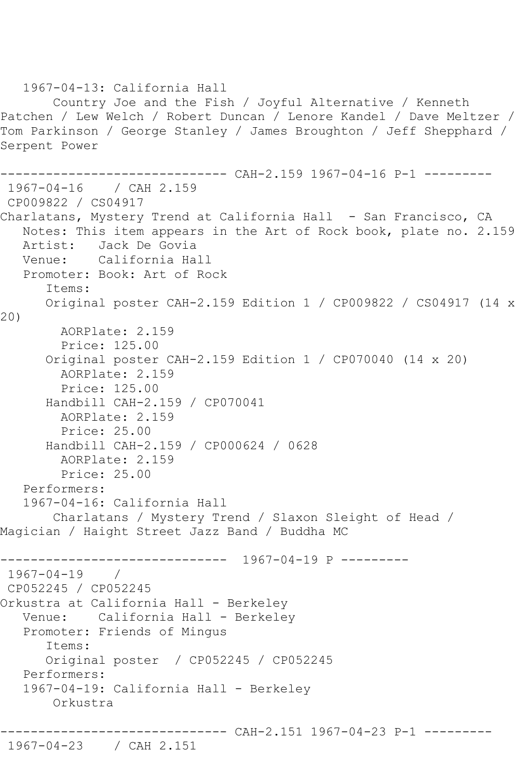1967-04-13: California Hall Country Joe and the Fish / Joyful Alternative / Kenneth Patchen / Lew Welch / Robert Duncan / Lenore Kandel / Dave Meltzer / Tom Parkinson / George Stanley / James Broughton / Jeff Shepphard / Serpent Power ------------------------------ CAH-2.159 1967-04-16 P-1 --------- 1967-04-16 / CAH 2.159 CP009822 / CS04917 Charlatans, Mystery Trend at California Hall - San Francisco, CA Notes: This item appears in the Art of Rock book, plate no. 2.159 Artist: Jack De Govia<br>Venue: California Hal California Hall Promoter: Book: Art of Rock Items: Original poster CAH-2.159 Edition 1 / CP009822 / CS04917 (14 x 20) AORPlate: 2.159 Price: 125.00 Original poster CAH-2.159 Edition 1 / CP070040 (14 x 20) AORPlate: 2.159 Price: 125.00 Handbill CAH-2.159 / CP070041 AORPlate: 2.159 Price: 25.00 Handbill CAH-2.159 / CP000624 / 0628 AORPlate: 2.159 Price: 25.00 Performers: 1967-04-16: California Hall Charlatans / Mystery Trend / Slaxon Sleight of Head / Magician / Haight Street Jazz Band / Buddha MC ------------------------------ 1967-04-19 P --------- 1967-04-19 / CP052245 / CP052245 Orkustra at California Hall - Berkeley Venue: California Hall - Berkeley Promoter: Friends of Mingus Items: Original poster / CP052245 / CP052245 Performers: 1967-04-19: California Hall - Berkeley Orkustra ------------------------------ CAH-2.151 1967-04-23 P-1 --------- 1967-04-23 / CAH 2.151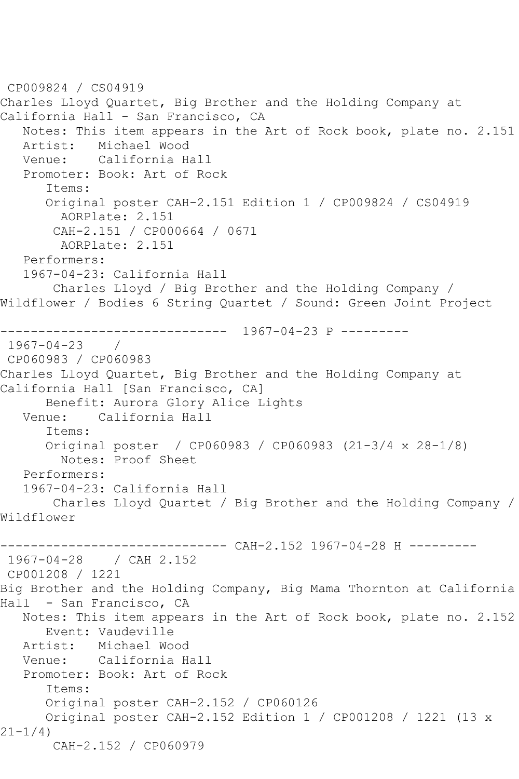CP009824 / CS04919 Charles Lloyd Quartet, Big Brother and the Holding Company at California Hall - San Francisco, CA Notes: This item appears in the Art of Rock book, plate no. 2.151 Artist: Michael Wood Venue: California Hall Promoter: Book: Art of Rock Items: Original poster CAH-2.151 Edition 1 / CP009824 / CS04919 AORPlate: 2.151 CAH-2.151 / CP000664 / 0671 AORPlate: 2.151 Performers: 1967-04-23: California Hall Charles Lloyd / Big Brother and the Holding Company / Wildflower / Bodies 6 String Quartet / Sound: Green Joint Project ------------------------------ 1967-04-23 P --------- 1967-04-23 / CP060983 / CP060983 Charles Lloyd Quartet, Big Brother and the Holding Company at California Hall [San Francisco, CA] Benefit: Aurora Glory Alice Lights<br>Venue: California Hall California Hall Items: Original poster / CP060983 / CP060983 (21-3/4 x 28-1/8) Notes: Proof Sheet Performers: 1967-04-23: California Hall Charles Lloyd Quartet / Big Brother and the Holding Company / Wildflower ------------------------------ CAH-2.152 1967-04-28 H --------- 1967-04-28 / CAH 2.152 CP001208 / 1221 Big Brother and the Holding Company, Big Mama Thornton at California Hall - San Francisco, CA Notes: This item appears in the Art of Rock book, plate no. 2.152 Event: Vaudeville<br>Artist: Michael Wo Michael Wood Venue: California Hall Promoter: Book: Art of Rock Items: Original poster CAH-2.152 / CP060126 Original poster CAH-2.152 Edition 1 / CP001208 / 1221 (13 x 21-1/4) CAH-2.152 / CP060979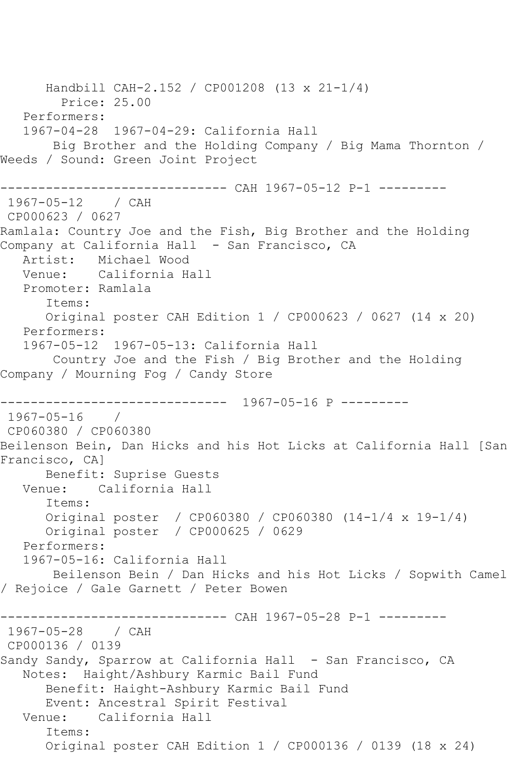Handbill CAH-2.152 / CP001208 (13 x 21-1/4) Price: 25.00 Performers: 1967-04-28 1967-04-29: California Hall Big Brother and the Holding Company / Big Mama Thornton / Weeds / Sound: Green Joint Project ------------------------------ CAH 1967-05-12 P-1 --------- 1967-05-12 / CAH CP000623 / 0627 Ramlala: Country Joe and the Fish, Big Brother and the Holding Company at California Hall - San Francisco, CA Artist: Michael Wood Venue: California Hall Promoter: Ramlala Items: Original poster CAH Edition 1 / CP000623 / 0627 (14 x 20) Performers: 1967-05-12 1967-05-13: California Hall Country Joe and the Fish / Big Brother and the Holding Company / Mourning Fog / Candy Store ------------------------------ 1967-05-16 P --------- 1967-05-16 / CP060380 / CP060380 Beilenson Bein, Dan Hicks and his Hot Licks at California Hall [San Francisco, CA] Benefit: Suprise Guests Venue: California Hall Items: Original poster / CP060380 / CP060380 (14-1/4 x 19-1/4) Original poster / CP000625 / 0629 Performers: 1967-05-16: California Hall Beilenson Bein / Dan Hicks and his Hot Licks / Sopwith Camel / Rejoice / Gale Garnett / Peter Bowen ----------- CAH 1967-05-28 P-1 ---------1967-05-28 / CAH CP000136 / 0139 Sandy Sandy, Sparrow at California Hall - San Francisco, CA Notes: Haight/Ashbury Karmic Bail Fund Benefit: Haight-Ashbury Karmic Bail Fund Event: Ancestral Spirit Festival Venue: California Hall Items: Original poster CAH Edition 1 / CP000136 / 0139 (18 x 24)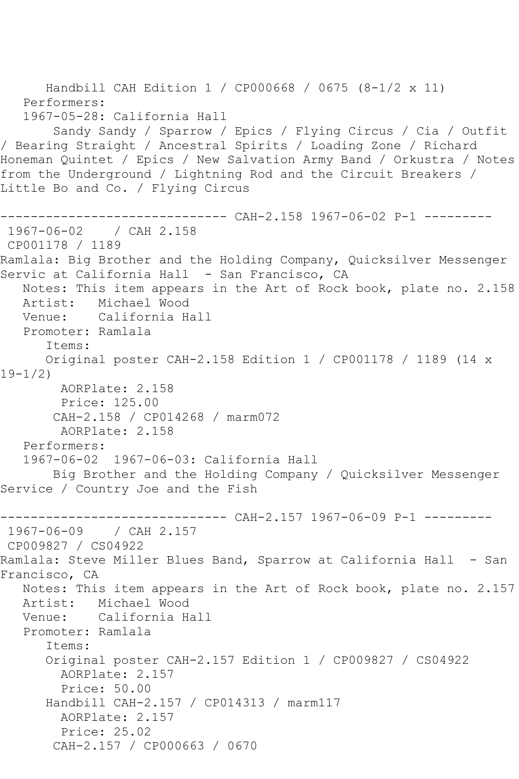Handbill CAH Edition 1 / CP000668 / 0675 (8-1/2 x 11) Performers: 1967-05-28: California Hall Sandy Sandy / Sparrow / Epics / Flying Circus / Cia / Outfit / Bearing Straight / Ancestral Spirits / Loading Zone / Richard Honeman Quintet / Epics / New Salvation Army Band / Orkustra / Notes from the Underground / Lightning Rod and the Circuit Breakers / Little Bo and Co. / Flying Circus ------------------------------ CAH-2.158 1967-06-02 P-1 --------- 1967-06-02 / CAH 2.158 CP001178 / 1189 Ramlala: Big Brother and the Holding Company, Quicksilver Messenger Servic at California Hall - San Francisco, CA Notes: This item appears in the Art of Rock book, plate no. 2.158 Artist: Michael Wood Venue: California Hall Promoter: Ramlala Items: Original poster CAH-2.158 Edition 1 / CP001178 / 1189 (14 x 19-1/2) AORPlate: 2.158 Price: 125.00 CAH-2.158 / CP014268 / marm072 AORPlate: 2.158 Performers: 1967-06-02 1967-06-03: California Hall Big Brother and the Holding Company / Quicksilver Messenger Service / Country Joe and the Fish ---------- CAH-2.157 1967-06-09 P-1 ----------1967-06-09 / CAH 2.157 CP009827 / CS04922 Ramlala: Steve Miller Blues Band, Sparrow at California Hall - San Francisco, CA Notes: This item appears in the Art of Rock book, plate no. 2.157 Artist: Michael Wood Venue: California Hall Promoter: Ramlala Items: Original poster CAH-2.157 Edition 1 / CP009827 / CS04922 AORPlate: 2.157 Price: 50.00 Handbill CAH-2.157 / CP014313 / marm117 AORPlate: 2.157 Price: 25.02 CAH-2.157 / CP000663 / 0670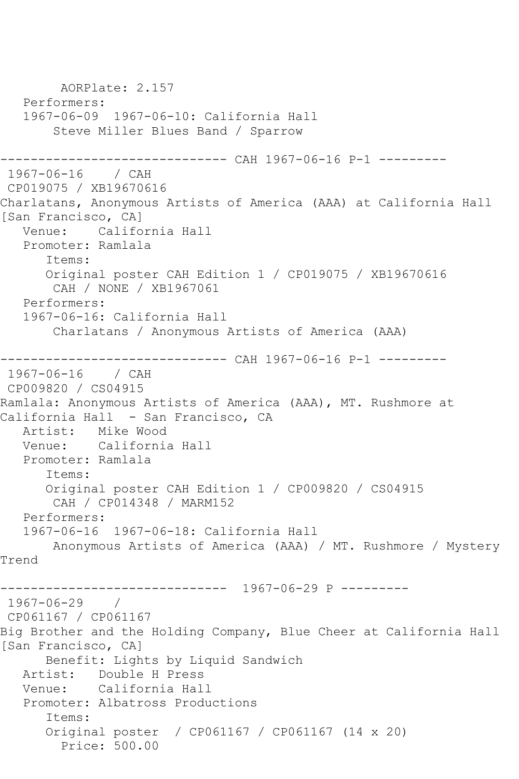```
 AORPlate: 2.157 
   Performers:
   1967-06-09 1967-06-10: California Hall
        Steve Miller Blues Band / Sparrow
          ------------------- CAH 1967-06-16 P-1 ---------
1967-06-16 / CAH 
CP019075 / XB19670616
Charlatans, Anonymous Artists of America (AAA) at California Hall 
[San Francisco, CA]
   Venue: California Hall
   Promoter: Ramlala
       Items:
       Original poster CAH Edition 1 / CP019075 / XB19670616
        CAH / NONE / XB1967061
   Performers:
   1967-06-16: California Hall
        Charlatans / Anonymous Artists of America (AAA)
------------------------------ CAH 1967-06-16 P-1 ---------
1967-06-16 / CAH 
CP009820 / CS04915
Ramlala: Anonymous Artists of America (AAA), MT. Rushmore at 
California Hall - San Francisco, CA
  Artist: Mike Wood<br>Venue: California
            California Hall
   Promoter: Ramlala
       Items:
      Original poster CAH Edition 1 / CP009820 / CS04915
        CAH / CP014348 / MARM152
   Performers:
   1967-06-16 1967-06-18: California Hall
        Anonymous Artists of America (AAA) / MT. Rushmore / Mystery 
Trend
------------------------------ 1967-06-29 P ---------
1967-06-29 / 
CP061167 / CP061167
Big Brother and the Holding Company, Blue Cheer at California Hall 
[San Francisco, CA]
      Benefit: Lights by Liquid Sandwich
   Artist: Double H Press
   Venue: California Hall
   Promoter: Albatross Productions
       Items:
       Original poster / CP061167 / CP061167 (14 x 20)
         Price: 500.00
```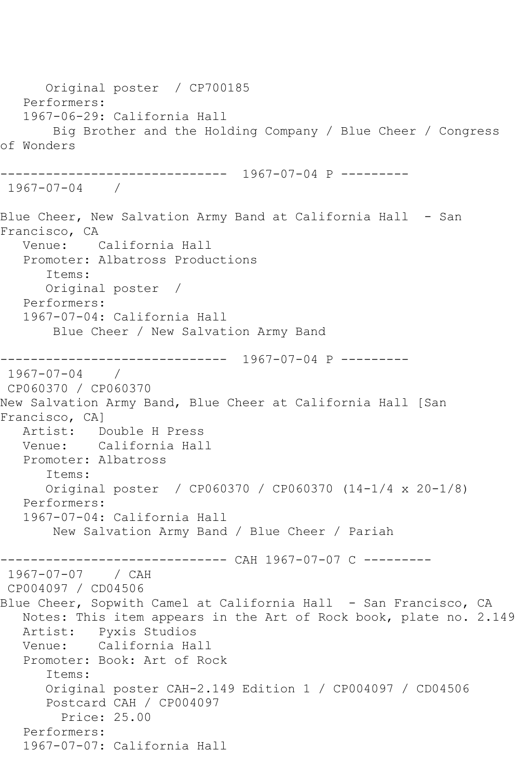Original poster / CP700185 Performers: 1967-06-29: California Hall Big Brother and the Holding Company / Blue Cheer / Congress of Wonders ------------------------------ 1967-07-04 P --------- 1967-07-04 / Blue Cheer, New Salvation Army Band at California Hall - San Francisco, CA Venue: California Hall Promoter: Albatross Productions Items: Original poster / Performers: 1967-07-04: California Hall Blue Cheer / New Salvation Army Band ------------------------------ 1967-07-04 P --------- 1967-07-04 / CP060370 / CP060370 New Salvation Army Band, Blue Cheer at California Hall [San Francisco, CA] Artist: Double H Press<br>Venue: California Hal California Hall Promoter: Albatross Items: Original poster / CP060370 / CP060370 (14-1/4 x 20-1/8) Performers: 1967-07-04: California Hall New Salvation Army Band / Blue Cheer / Pariah ------------------------------ CAH 1967-07-07 C --------- 1967-07-07 / CAH CP004097 / CD04506 Blue Cheer, Sopwith Camel at California Hall - San Francisco, CA Notes: This item appears in the Art of Rock book, plate no. 2.149 Artist: Pyxis Studios California Hall Promoter: Book: Art of Rock Items: Original poster CAH-2.149 Edition 1 / CP004097 / CD04506 Postcard CAH / CP004097 Price: 25.00 Performers: 1967-07-07: California Hall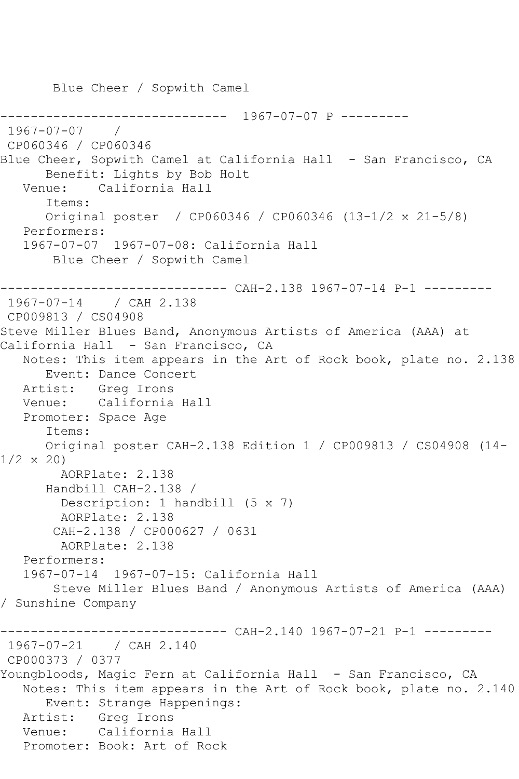Blue Cheer / Sopwith Camel ------------------------------ 1967-07-07 P --------- 1967-07-07 / CP060346 / CP060346 Blue Cheer, Sopwith Camel at California Hall - San Francisco, CA Benefit: Lights by Bob Holt Venue: California Hall Items: Original poster / CP060346 / CP060346 (13-1/2 x 21-5/8) Performers: 1967-07-07 1967-07-08: California Hall Blue Cheer / Sopwith Camel ------------------------------ CAH-2.138 1967-07-14 P-1 --------- 1967-07-14 / CAH 2.138 CP009813 / CS04908 Steve Miller Blues Band, Anonymous Artists of America (AAA) at California Hall - San Francisco, CA Notes: This item appears in the Art of Rock book, plate no. 2.138 Event: Dance Concert Artist: Greg Irons Venue: California Hall Promoter: Space Age Items: Original poster CAH-2.138 Edition 1 / CP009813 / CS04908 (14-  $1/2 \times 20$  AORPlate: 2.138 Handbill CAH-2.138 / Description: 1 handbill (5 x 7) AORPlate: 2.138 CAH-2.138 / CP000627 / 0631 AORPlate: 2.138 Performers: 1967-07-14 1967-07-15: California Hall Steve Miller Blues Band / Anonymous Artists of America (AAA) / Sunshine Company ------------------------------ CAH-2.140 1967-07-21 P-1 --------- 1967-07-21 / CAH 2.140 CP000373 / 0377 Youngbloods, Magic Fern at California Hall - San Francisco, CA Notes: This item appears in the Art of Rock book, plate no. 2.140 Event: Strange Happenings: Artist: Greg Irons Venue: California Hall Promoter: Book: Art of Rock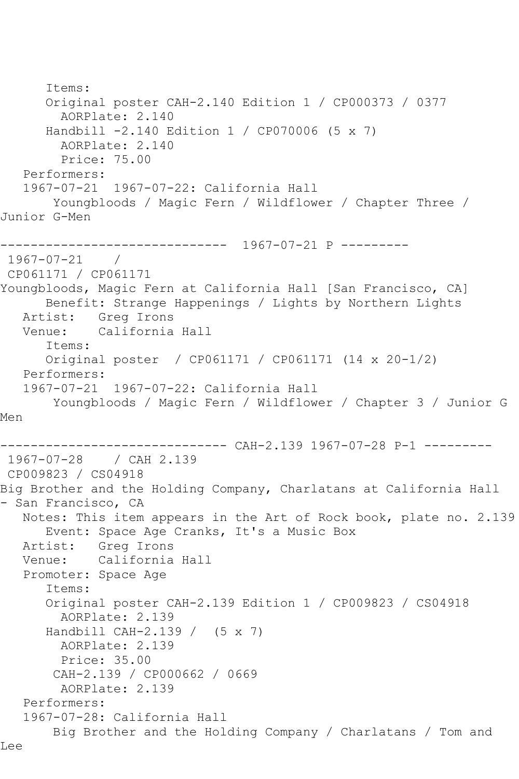Items: Original poster CAH-2.140 Edition 1 / CP000373 / 0377 AORPlate: 2.140 Handbill -2.140 Edition 1 / CP070006 (5 x 7) AORPlate: 2.140 Price: 75.00 Performers: 1967-07-21 1967-07-22: California Hall Youngbloods / Magic Fern / Wildflower / Chapter Three / Junior G-Men ------------------------------ 1967-07-21 P --------- 1967-07-21 / CP061171 / CP061171 Youngbloods, Magic Fern at California Hall [San Francisco, CA] Benefit: Strange Happenings / Lights by Northern Lights Artist: Greg Irons<br>Venue: California California Hall Items: Original poster / CP061171 / CP061171 (14 x 20-1/2) Performers: 1967-07-21 1967-07-22: California Hall Youngbloods / Magic Fern / Wildflower / Chapter 3 / Junior G Men ------------------------------ CAH-2.139 1967-07-28 P-1 --------- 1967-07-28 / CAH 2.139 CP009823 / CS04918 Big Brother and the Holding Company, Charlatans at California Hall - San Francisco, CA Notes: This item appears in the Art of Rock book, plate no. 2.139 Event: Space Age Cranks, It's a Music Box Artist: Greg Irons<br>Venue: California California Hall Promoter: Space Age Items: Original poster CAH-2.139 Edition 1 / CP009823 / CS04918 AORPlate: 2.139 Handbill CAH-2.139 / (5 x 7) AORPlate: 2.139 Price: 35.00 CAH-2.139 / CP000662 / 0669 AORPlate: 2.139 Performers: 1967-07-28: California Hall Big Brother and the Holding Company / Charlatans / Tom and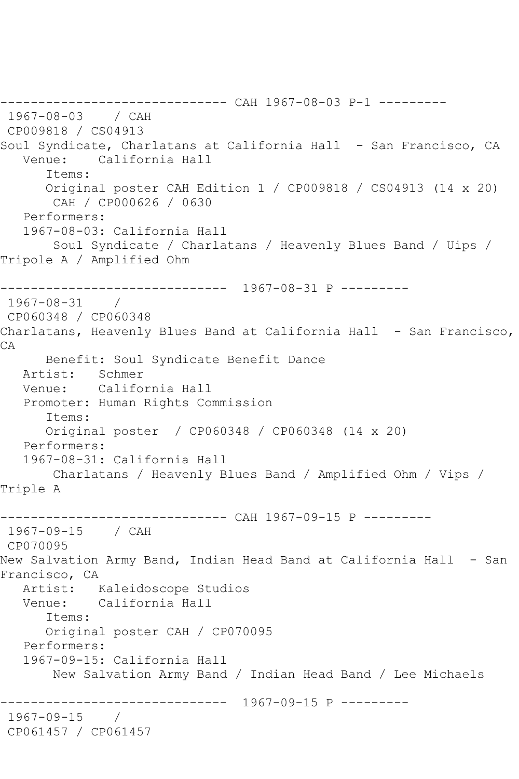------------------------------ CAH 1967-08-03 P-1 --------- 1967-08-03 / CAH CP009818 / CS04913 Soul Syndicate, Charlatans at California Hall - San Francisco, CA Venue: California Hall Items: Original poster CAH Edition 1 / CP009818 / CS04913 (14 x 20) CAH / CP000626 / 0630 Performers: 1967-08-03: California Hall Soul Syndicate / Charlatans / Heavenly Blues Band / Uips / Tripole A / Amplified Ohm ------------------------------ 1967-08-31 P --------- 1967-08-31 / CP060348 / CP060348 Charlatans, Heavenly Blues Band at California Hall - San Francisco, CA Benefit: Soul Syndicate Benefit Dance Artist: Schmer Venue: California Hall Promoter: Human Rights Commission Items: Original poster / CP060348 / CP060348 (14 x 20) Performers: 1967-08-31: California Hall Charlatans / Heavenly Blues Band / Amplified Ohm / Vips / Triple A ------------------------------ CAH 1967-09-15 P --------- 1967-09-15 / CAH CP070095 New Salvation Army Band, Indian Head Band at California Hall - San Francisco, CA Artist: Kaleidoscope Studios Venue: California Hall Items: Original poster CAH / CP070095 Performers: 1967-09-15: California Hall New Salvation Army Band / Indian Head Band / Lee Michaels ------------------------------ 1967-09-15 P --------- 1967-09-15 / CP061457 / CP061457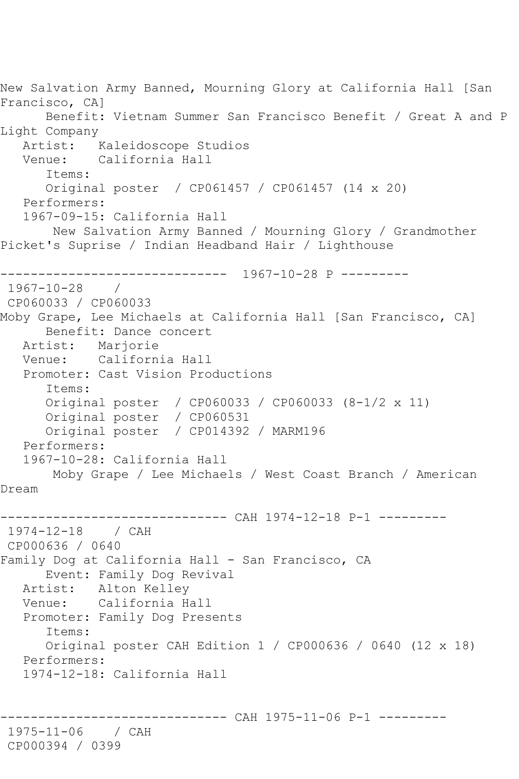New Salvation Army Banned, Mourning Glory at California Hall [San Francisco, CA] Benefit: Vietnam Summer San Francisco Benefit / Great A and P Light Company Artist: Kaleidoscope Studios Venue: California Hall Items: Original poster / CP061457 / CP061457 (14 x 20) Performers: 1967-09-15: California Hall New Salvation Army Banned / Mourning Glory / Grandmother Picket's Suprise / Indian Headband Hair / Lighthouse ------------------------------ 1967-10-28 P --------- 1967-10-28 / CP060033 / CP060033 Moby Grape, Lee Michaels at California Hall [San Francisco, CA] Benefit: Dance concert Artist: Marjorie Venue: California Hall Promoter: Cast Vision Productions Items: Original poster / CP060033 / CP060033 (8-1/2 x 11) Original poster / CP060531 Original poster / CP014392 / MARM196 Performers: 1967-10-28: California Hall Moby Grape / Lee Michaels / West Coast Branch / American Dream ------------------------------ CAH 1974-12-18 P-1 --------- 1974-12-18 / CAH CP000636 / 0640 Family Dog at California Hall - San Francisco, CA Event: Family Dog Revival Artist: Alton Kelley Venue: California Hall Promoter: Family Dog Presents Items: Original poster CAH Edition 1 / CP000636 / 0640 (12 x 18) Performers: 1974-12-18: California Hall ------------------------------ CAH 1975-11-06 P-1 --------- 1975-11-06 / CAH CP000394 / 0399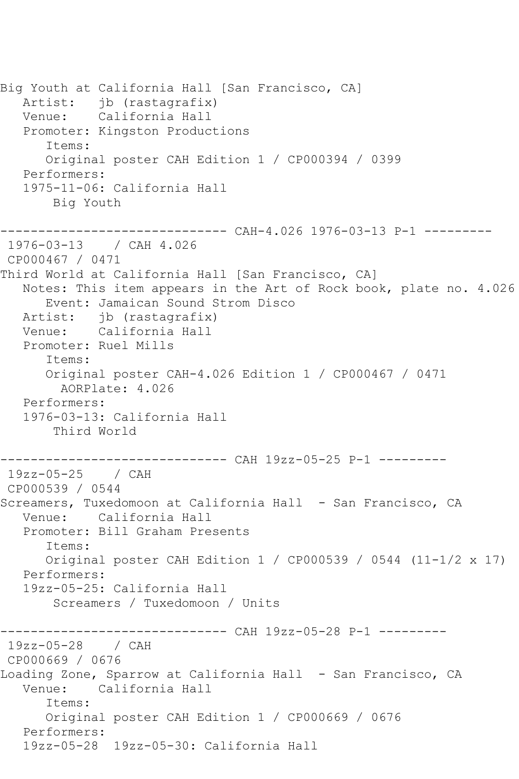Big Youth at California Hall [San Francisco, CA] Artist: jb (rastagrafix) Venue: California Hall Promoter: Kingston Productions Items: Original poster CAH Edition 1 / CP000394 / 0399 Performers: 1975-11-06: California Hall Big Youth ------------------------------ CAH-4.026 1976-03-13 P-1 --------- 1976-03-13 / CAH 4.026 CP000467 / 0471 Third World at California Hall [San Francisco, CA] Notes: This item appears in the Art of Rock book, plate no. 4.026 Event: Jamaican Sound Strom Disco Artist: jb (rastagrafix) Venue: California Hall Promoter: Ruel Mills Items: Original poster CAH-4.026 Edition 1 / CP000467 / 0471 AORPlate: 4.026 Performers: 1976-03-13: California Hall Third World ------------------------------ CAH 19zz-05-25 P-1 --------- 19zz-05-25 / CAH CP000539 / 0544 Screamers, Tuxedomoon at California Hall - San Francisco, CA Venue: California Hall Promoter: Bill Graham Presents Items: Original poster CAH Edition 1 / CP000539 / 0544 (11-1/2 x 17) Performers: 19zz-05-25: California Hall Screamers / Tuxedomoon / Units ------------------------------ CAH 19zz-05-28 P-1 --------- 19zz-05-28 / CAH CP000669 / 0676 Loading Zone, Sparrow at California Hall - San Francisco, CA Venue: California Hall Items: Original poster CAH Edition 1 / CP000669 / 0676 Performers: 19zz-05-28 19zz-05-30: California Hall